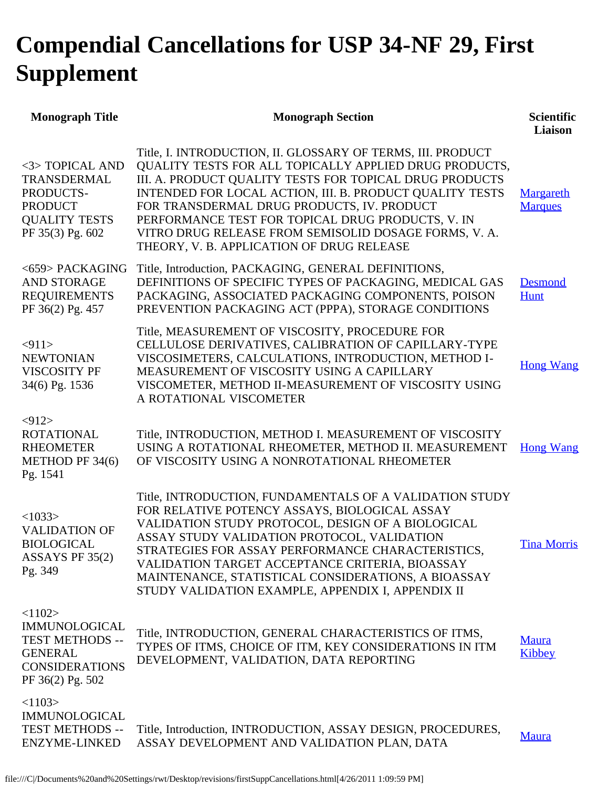## **Compendial Cancellations for USP 34-NF 29, First Supplement**

| <b>Monograph Title</b>                                                                                                  | <b>Monograph Section</b>                                                                                                                                                                                                                                                                                                                                                                                                                              | <b>Scientific</b><br>Liaison |
|-------------------------------------------------------------------------------------------------------------------------|-------------------------------------------------------------------------------------------------------------------------------------------------------------------------------------------------------------------------------------------------------------------------------------------------------------------------------------------------------------------------------------------------------------------------------------------------------|------------------------------|
| <3> TOPICAL AND<br>TRANSDERMAL<br>PRODUCTS-<br><b>PRODUCT</b><br><b>QUALITY TESTS</b><br>PF 35(3) Pg. 602               | Title, I. INTRODUCTION, II. GLOSSARY OF TERMS, III. PRODUCT<br>QUALITY TESTS FOR ALL TOPICALLY APPLIED DRUG PRODUCTS,<br>III. A. PRODUCT QUALITY TESTS FOR TOPICAL DRUG PRODUCTS<br>INTENDED FOR LOCAL ACTION, III. B. PRODUCT QUALITY TESTS<br>FOR TRANSDERMAL DRUG PRODUCTS, IV. PRODUCT<br>PERFORMANCE TEST FOR TOPICAL DRUG PRODUCTS, V. IN<br>VITRO DRUG RELEASE FROM SEMISOLID DOSAGE FORMS, V. A.<br>THEORY, V. B. APPLICATION OF DRUG RELEASE | Margareth<br><b>Marques</b>  |
| <659> PACKAGING<br><b>AND STORAGE</b><br><b>REQUIREMENTS</b><br>PF 36(2) Pg. 457                                        | Title, Introduction, PACKAGING, GENERAL DEFINITIONS,<br>DEFINITIONS OF SPECIFIC TYPES OF PACKAGING, MEDICAL GAS<br>PACKAGING, ASSOCIATED PACKAGING COMPONENTS, POISON<br>PREVENTION PACKAGING ACT (PPPA), STORAGE CONDITIONS                                                                                                                                                                                                                          | <b>Desmond</b><br>Hunt       |
| < 911<br><b>NEWTONIAN</b><br><b>VISCOSITY PF</b><br>34(6) Pg. 1536                                                      | Title, MEASUREMENT OF VISCOSITY, PROCEDURE FOR<br>CELLULOSE DERIVATIVES, CALIBRATION OF CAPILLARY-TYPE<br>VISCOSIMETERS, CALCULATIONS, INTRODUCTION, METHOD I-<br>MEASUREMENT OF VISCOSITY USING A CAPILLARY<br>VISCOMETER, METHOD II-MEASUREMENT OF VISCOSITY USING<br>A ROTATIONAL VISCOMETER                                                                                                                                                       | <b>Hong Wang</b>             |
| $<$ 912><br><b>ROTATIONAL</b><br><b>RHEOMETER</b><br>METHOD PF 34(6)<br>Pg. 1541                                        | Title, INTRODUCTION, METHOD I. MEASUREMENT OF VISCOSITY<br>USING A ROTATIONAL RHEOMETER, METHOD II. MEASUREMENT<br>OF VISCOSITY USING A NONROTATIONAL RHEOMETER                                                                                                                                                                                                                                                                                       | <b>Hong Wang</b>             |
| <1033><br><b>VALIDATION OF</b><br><b>BIOLOGICAL</b><br>ASSAYS PF $35(2)$<br>Pg. 349                                     | Title, INTRODUCTION, FUNDAMENTALS OF A VALIDATION STUDY<br>FOR RELATIVE POTENCY ASSAYS, BIOLOGICAL ASSAY<br>VALIDATION STUDY PROTOCOL, DESIGN OF A BIOLOGICAL<br>ASSAY STUDY VALIDATION PROTOCOL, VALIDATION<br>STRATEGIES FOR ASSAY PERFORMANCE CHARACTERISTICS,<br>VALIDATION TARGET ACCEPTANCE CRITERIA, BIOASSAY<br>MAINTENANCE, STATISTICAL CONSIDERATIONS, A BIOASSAY<br>STUDY VALIDATION EXAMPLE, APPENDIX I, APPENDIX II                      | <b>Tina Morris</b>           |
| <1102><br><b>IMMUNOLOGICAL</b><br><b>TEST METHODS --</b><br><b>GENERAL</b><br><b>CONSIDERATIONS</b><br>PF 36(2) Pg. 502 | Title, INTRODUCTION, GENERAL CHARACTERISTICS OF ITMS,<br>TYPES OF ITMS, CHOICE OF ITM, KEY CONSIDERATIONS IN ITM<br>DEVELOPMENT, VALIDATION, DATA REPORTING                                                                                                                                                                                                                                                                                           | <b>Maura</b><br>Kibbey       |
| <1103><br><b>IMMUNOLOGICAL</b><br><b>TEST METHODS --</b><br><b>ENZYME-LINKED</b>                                        | Title, Introduction, INTRODUCTION, ASSAY DESIGN, PROCEDURES,<br>ASSAY DEVELOPMENT AND VALIDATION PLAN, DATA                                                                                                                                                                                                                                                                                                                                           | <b>Maura</b>                 |